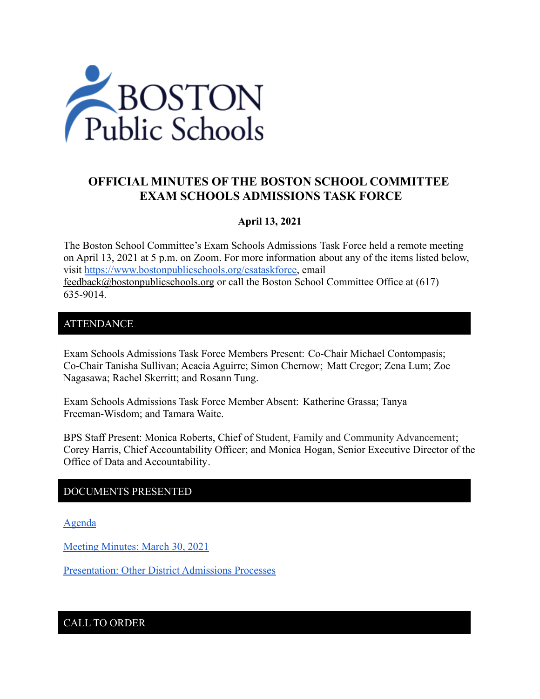

# **OFFICIAL MINUTES OF THE BOSTON SCHOOL COMMITTEE EXAM SCHOOLS ADMISSIONS TASK FORCE**

## **April 13, 2021**

The Boston School Committee's Exam Schools Admissions Task Force held a remote meeting on April 13, 2021 at 5 p.m. on Zoom. For more information about any of the items listed below, visit [https://www.bostonpublicschools.org/esataskforce,](https://www.bostonpublicschools.org/esataskforce) email [feedback@bostonpublicschools.org](mailto:feedback@bostonpublicschools.org) or call the Boston School Committee Office at (617) 635-9014.

#### ATTENDANCE

Exam Schools Admissions Task Force Members Present: Co-Chair Michael Contompasis; Co-Chair Tanisha Sullivan; Acacia Aguirre; Simon Chernow; Matt Cregor; Zena Lum; Zoe Nagasawa; Rachel Skerritt; and Rosann Tung.

Exam Schools Admissions Task Force Member Absent: Katherine Grassa; Tanya Freeman-Wisdom; and Tamara Waite.

BPS Staff Present: Monica Roberts, Chief of Student, Family and Community Advancement; Corey Harris, Chief Accountability Officer; and Monica Hogan, Senior Executive Director of the Office of Data and Accountability.

#### DOCUMENTS PRESENTED

[Agenda](https://www.boston.gov/public-notices/14913681)

[Meeting Minutes: March 30, 2021](https://www.bostonpublicschools.org/cms/lib/MA01906464/Centricity/Domain/2931/Minutes%203%2030%2021%20Exam%20School%20Admission%20TF%20Meeting.pdf)

Presentation: [Other District Admissions Processes](https://www.bostonpublicschools.org/cms/lib/MA01906464/Centricity/Domain/2931/Exam%20School%20Task%20Force%20PPT%2041321.pdf)

CALL TO ORDER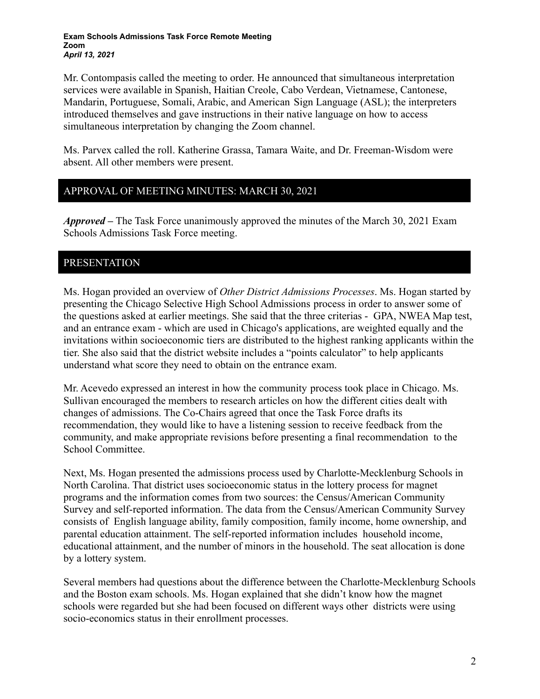**Exam Schools Admissions Task Force Remote Meeting Zoom** *April 13, 2021*

Mr. Contompasis called the meeting to order. He announced that simultaneous interpretation services were available in Spanish, Haitian Creole, Cabo Verdean, Vietnamese, Cantonese, Mandarin, Portuguese, Somali, Arabic, and American Sign Language (ASL); the interpreters introduced themselves and gave instructions in their native language on how to access simultaneous interpretation by changing the Zoom channel.

Ms. Parvex called the roll. Katherine Grassa, Tamara Waite, and Dr. Freeman-Wisdom were absent. All other members were present.

# APPROVAL OF MEETING MINUTES: MARCH 30, 2021

*Approved –* The Task Force unanimously approved the minutes of the March 30, 2021 Exam Schools Admissions Task Force meeting.

## PRESENTATION

Ms. Hogan provided an overview of *Other District Admissions Processes*. Ms. Hogan started by presenting the Chicago Selective High School Admissions process in order to answer some of the questions asked at earlier meetings. She said that the three criterias - GPA, NWEA Map test, and an entrance exam - which are used in Chicago's applications, are weighted equally and the invitations within socioeconomic tiers are distributed to the highest ranking applicants within the tier. She also said that the district website includes a "points calculator" to help applicants understand what score they need to obtain on the entrance exam.

Mr. Acevedo expressed an interest in how the community process took place in Chicago. Ms. Sullivan encouraged the members to research articles on how the different cities dealt with changes of admissions. The Co-Chairs agreed that once the Task Force drafts its recommendation, they would like to have a listening session to receive feedback from the community, and make appropriate revisions before presenting a final recommendation to the School Committee.

Next, Ms. Hogan presented the admissions process used by Charlotte-Mecklenburg Schools in North Carolina. That district uses socioeconomic status in the lottery process for magnet programs and the information comes from two sources: the Census/American Community Survey and self-reported information. The data from the Census/American Community Survey consists of English language ability, family composition, family income, home ownership, and parental education attainment. The self-reported information includes household income, educational attainment, and the number of minors in the household. The seat allocation is done by a lottery system.

Several members had questions about the difference between the Charlotte-Mecklenburg Schools and the Boston exam schools. Ms. Hogan explained that she didn't know how the magnet schools were regarded but she had been focused on different ways other districts were using socio-economics status in their enrollment processes.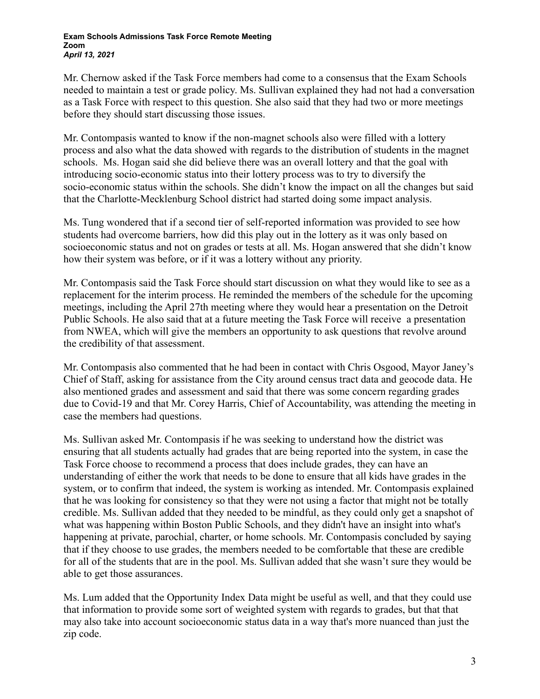Mr. Chernow asked if the Task Force members had come to a consensus that the Exam Schools needed to maintain a test or grade policy. Ms. Sullivan explained they had not had a conversation as a Task Force with respect to this question. She also said that they had two or more meetings before they should start discussing those issues.

Mr. Contompasis wanted to know if the non-magnet schools also were filled with a lottery process and also what the data showed with regards to the distribution of students in the magnet schools. Ms. Hogan said she did believe there was an overall lottery and that the goal with introducing socio-economic status into their lottery process was to try to diversify the socio-economic status within the schools. She didn't know the impact on all the changes but said that the Charlotte-Mecklenburg School district had started doing some impact analysis.

Ms. Tung wondered that if a second tier of self-reported information was provided to see how students had overcome barriers, how did this play out in the lottery as it was only based on socioeconomic status and not on grades or tests at all. Ms. Hogan answered that she didn't know how their system was before, or if it was a lottery without any priority.

Mr. Contompasis said the Task Force should start discussion on what they would like to see as a replacement for the interim process. He reminded the members of the schedule for the upcoming meetings, including the April 27th meeting where they would hear a presentation on the Detroit Public Schools. He also said that at a future meeting the Task Force will receive a presentation from NWEA, which will give the members an opportunity to ask questions that revolve around the credibility of that assessment.

Mr. Contompasis also commented that he had been in contact with Chris Osgood, Mayor Janey's Chief of Staff, asking for assistance from the City around census tract data and geocode data. He also mentioned grades and assessment and said that there was some concern regarding grades due to Covid-19 and that Mr. Corey Harris, Chief of Accountability, was attending the meeting in case the members had questions.

Ms. Sullivan asked Mr. Contompasis if he was seeking to understand how the district was ensuring that all students actually had grades that are being reported into the system, in case the Task Force choose to recommend a process that does include grades, they can have an understanding of either the work that needs to be done to ensure that all kids have grades in the system, or to confirm that indeed, the system is working as intended. Mr. Contompasis explained that he was looking for consistency so that they were not using a factor that might not be totally credible. Ms. Sullivan added that they needed to be mindful, as they could only get a snapshot of what was happening within Boston Public Schools, and they didn't have an insight into what's happening at private, parochial, charter, or home schools. Mr. Contompasis concluded by saying that if they choose to use grades, the members needed to be comfortable that these are credible for all of the students that are in the pool. Ms. Sullivan added that she wasn't sure they would be able to get those assurances.

Ms. Lum added that the Opportunity Index Data might be useful as well, and that they could use that information to provide some sort of weighted system with regards to grades, but that that may also take into account socioeconomic status data in a way that's more nuanced than just the zip code.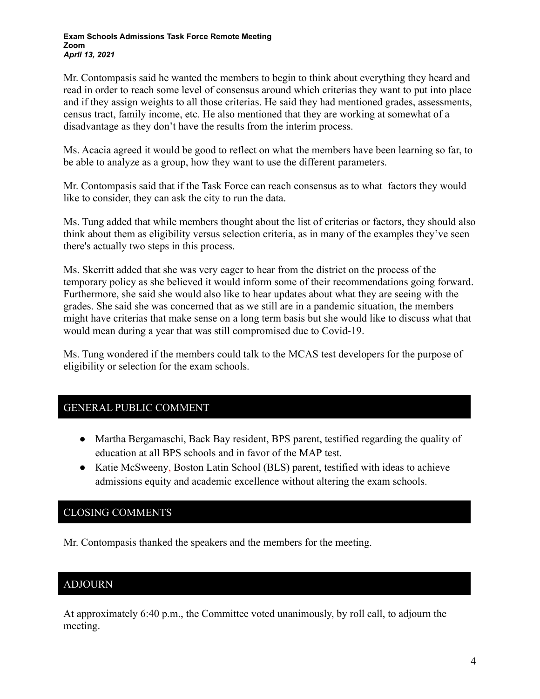#### **Exam Schools Admissions Task Force Remote Meeting Zoom** *April 13, 2021*

Mr. Contompasis said he wanted the members to begin to think about everything they heard and read in order to reach some level of consensus around which criterias they want to put into place and if they assign weights to all those criterias. He said they had mentioned grades, assessments, census tract, family income, etc. He also mentioned that they are working at somewhat of a disadvantage as they don't have the results from the interim process.

Ms. Acacia agreed it would be good to reflect on what the members have been learning so far, to be able to analyze as a group, how they want to use the different parameters.

Mr. Contompasis said that if the Task Force can reach consensus as to what factors they would like to consider, they can ask the city to run the data.

Ms. Tung added that while members thought about the list of criterias or factors, they should also think about them as eligibility versus selection criteria, as in many of the examples they've seen there's actually two steps in this process.

Ms. Skerritt added that she was very eager to hear from the district on the process of the temporary policy as she believed it would inform some of their recommendations going forward. Furthermore, she said she would also like to hear updates about what they are seeing with the grades. She said she was concerned that as we still are in a pandemic situation, the members might have criterias that make sense on a long term basis but she would like to discuss what that would mean during a year that was still compromised due to Covid-19.

Ms. Tung wondered if the members could talk to the MCAS test developers for the purpose of eligibility or selection for the exam schools.

## GENERAL PUBLIC COMMENT

- Martha Bergamaschi, Back Bay resident, BPS parent, testified regarding the quality of education at all BPS schools and in favor of the MAP test.
- Katie McSweeny, Boston Latin School (BLS) parent, testified with ideas to achieve admissions equity and academic excellence without altering the exam schools.

# CLOSING COMMENTS

Mr. Contompasis thanked the speakers and the members for the meeting.

# ADJOURN

SINE

At approximately 6:40 p.m., the Committee voted unanimously, by roll call, to adjourn the meeting.